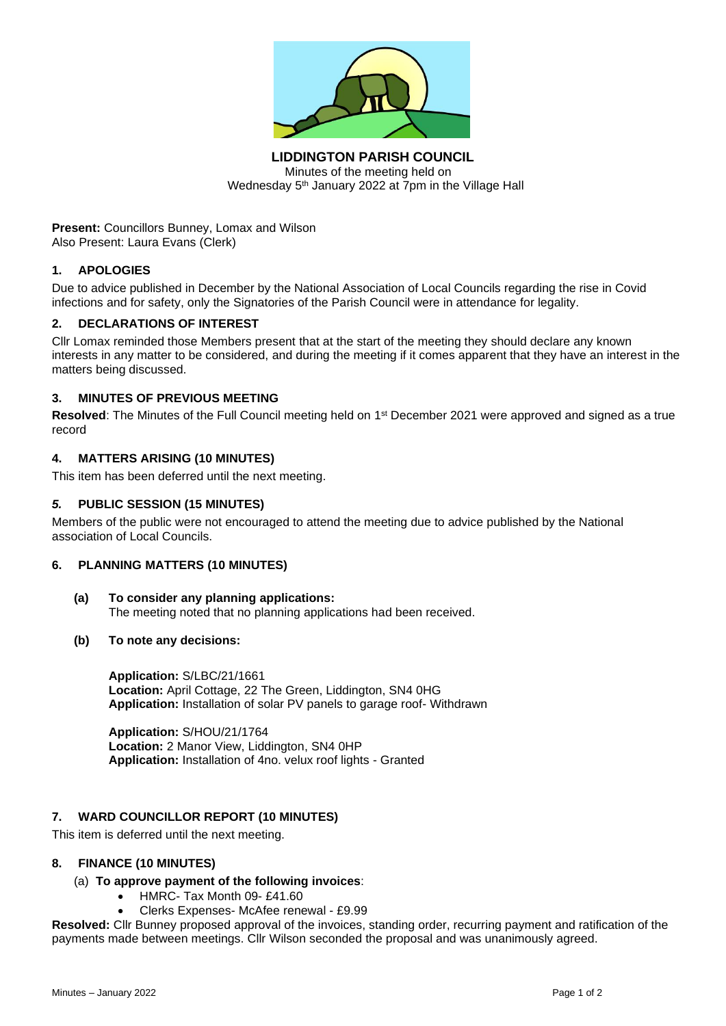

**LIDDINGTON PARISH COUNCIL** Minutes of the meeting held on Wednesday 5<sup>th</sup> January 2022 at 7pm in the Village Hall

**Present:** Councillors Bunney, Lomax and Wilson Also Present: Laura Evans (Clerk)

# **1. APOLOGIES**

Due to advice published in December by the National Association of Local Councils regarding the rise in Covid infections and for safety, only the Signatories of the Parish Council were in attendance for legality.

# **2. DECLARATIONS OF INTEREST**

Cllr Lomax reminded those Members present that at the start of the meeting they should declare any known interests in any matter to be considered, and during the meeting if it comes apparent that they have an interest in the matters being discussed.

# **3. MINUTES OF PREVIOUS MEETING**

Resolved: The Minutes of the Full Council meeting held on 1<sup>st</sup> December 2021 were approved and signed as a true record

# **4. MATTERS ARISING (10 MINUTES)**

This item has been deferred until the next meeting.

# *5.* **PUBLIC SESSION (15 MINUTES)**

Members of the public were not encouraged to attend the meeting due to advice published by the National association of Local Councils.

#### **6. PLANNING MATTERS (10 MINUTES)**

- **(a) To consider any planning applications:** The meeting noted that no planning applications had been received.
- **(b) To note any decisions:**

**Application:** S/LBC/21/1661 **Location:** April Cottage, 22 The Green, Liddington, SN4 0HG **Application:** Installation of solar PV panels to garage roof- Withdrawn

**Application:** S/HOU/21/1764 **Location:** 2 Manor View, Liddington, SN4 0HP **Application:** Installation of 4no. velux roof lights - Granted

# **7. WARD COUNCILLOR REPORT (10 MINUTES)**

This item is deferred until the next meeting.

### **8. FINANCE (10 MINUTES)**

# (a) **To approve payment of the following invoices**:

- HMRC- Tax Month 09- £41.60
- Clerks Expenses- McAfee renewal £9.99

**Resolved:** Cllr Bunney proposed approval of the invoices, standing order, recurring payment and ratification of the payments made between meetings. Cllr Wilson seconded the proposal and was unanimously agreed.